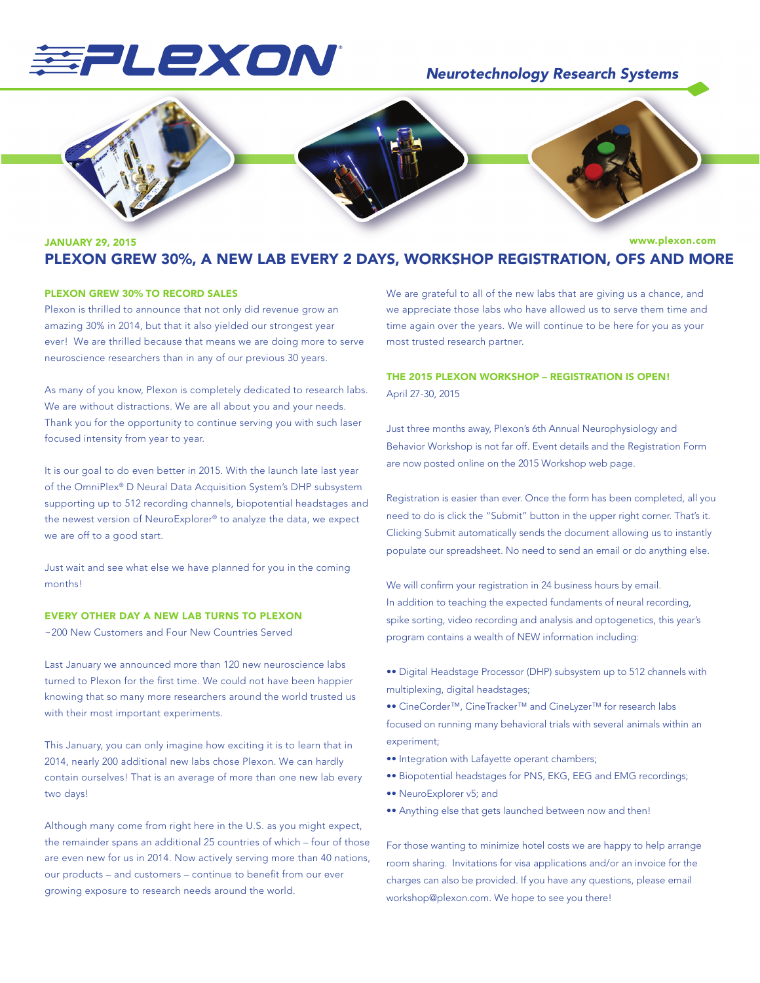# EPLEXON

# *Neurotechnology Research Systems*



#### www.plexon.com JANUARY 29, 2015 PLEXON GREW 30%, A NEW LAB EVERY 2 DAYS, WORKSHOP REGISTRATION, OFS AND MORE

## PLEXON GREW 30% TO RECORD SALES

Plexon is thrilled to announce that not only did revenue grow an amazing 30% in 2014, but that it also yielded our strongest year ever! We are thrilled because that means we are doing more to serve neuroscience researchers than in any of our previous 30 years.

As many of you know, Plexon is completely dedicated to research labs. We are without distractions. We are all about you and your needs. Thank you for the opportunity to continue serving you with such laser focused intensity from year to year.

It is our goal to do even better in 2015. With the launch late last year of the OmniPlex® D Neural Data Acquisition System's DHP subsystem supporting up to 512 recording channels, biopotential headstages and the newest version of NeuroExplorer® to analyze the data, we expect we are off to a good start.

Just wait and see what else we have planned for you in the coming months!

## EVERY OTHER DAY A NEW LAB TURNS TO PLEXON

~200 New Customers and Four New Countries Served

Last January we announced more than 120 new neuroscience labs turned to Plexon for the first time. We could not have been happier knowing that so many more researchers around the world trusted us with their most important experiments.

This January, you can only imagine how exciting it is to learn that in 2014, nearly 200 additional new labs chose Plexon. We can hardly contain ourselves! That is an average of more than one new lab every two days!

Although many come from right here in the U.S. as you might expect, the remainder spans an additional 25 countries of which – four of those are even new for us in 2014. Now actively serving more than 40 nations, our products – and customers – continue to benefit from our ever growing exposure to research needs around the world.

We are grateful to all of the new labs that are giving us a chance, and we appreciate those labs who have allowed us to serve them time and time again over the years. We will continue to be here for you as your most trusted research partner.

# THE 2015 PLEXON WORKSHOP – REGISTRATION IS OPEN! April 27-30, 2015

Just three months away, Plexon's 6th Annual Neurophysiology and Behavior Workshop is not far off. Event details and the Registration Form are now posted online on the 2015 Workshop web page.

Registration is easier than ever. Once the form has been completed, all you need to do is click the "Submit" button in the upper right corner. That's it. Clicking Submit automatically sends the document allowing us to instantly populate our spreadsheet. No need to send an email or do anything else.

We will confirm your registration in 24 business hours by email. In addition to teaching the expected fundaments of neural recording, spike sorting, video recording and analysis and optogenetics, this year's program contains a wealth of NEW information including:

- •• Digital Headstage Processor (DHP) subsystem up to 512 channels with multiplexing, digital headstages;
- •• CineCorder™, CineTracker™ and CineLyzer™ for research labs focused on running many behavioral trials with several animals within an experiment;
- •• Integration with Lafayette operant chambers;
- •• Biopotential headstages for PNS, EKG, EEG and EMG recordings;
- •• NeuroExplorer v5; and
- •• Anything else that gets launched between now and then!

For those wanting to minimize hotel costs we are happy to help arrange room sharing. Invitations for visa applications and/or an invoice for the charges can also be provided. If you have any questions, please email workshop@plexon.com. We hope to see you there!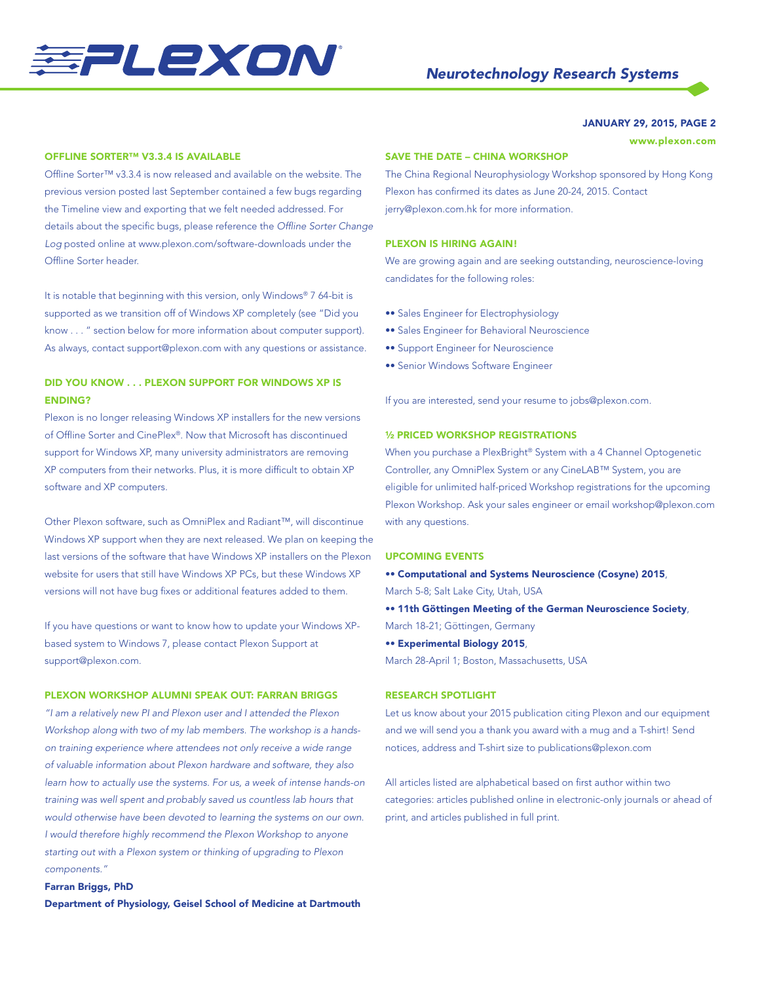

## JANUARY 29, 2015, PAGE 2

www.plexon.com

## OFFLINE SORTER™ V3.3.4 IS AVAILABLE

Offline Sorter™ v3.3.4 is now released and available on the website. The previous version posted last September contained a few bugs regarding the Timeline view and exporting that we felt needed addressed. For details about the specific bugs, please reference the *Offline Sorter Change Log* posted online at www.plexon.com/software-downloads under the Offline Sorter header.

It is notable that beginning with this version, only Windows® 7 64-bit is supported as we transition off of Windows XP completely (see "Did you know . . . " section below for more information about computer support). As always, contact support@plexon.com with any questions or assistance.

## DID YOU KNOW . . . PLEXON SUPPORT FOR WINDOWS XP IS ENDING?

Plexon is no longer releasing Windows XP installers for the new versions of Offline Sorter and CinePlex®. Now that Microsoft has discontinued support for Windows XP, many university administrators are removing XP computers from their networks. Plus, it is more difficult to obtain XP software and XP computers.

Other Plexon software, such as OmniPlex and Radiant™, will discontinue Windows XP support when they are next released. We plan on keeping the last versions of the software that have Windows XP installers on the Plexon website for users that still have Windows XP PCs, but these Windows XP versions will not have bug fixes or additional features added to them.

If you have questions or want to know how to update your Windows XPbased system to Windows 7, please contact Plexon Support at support@plexon.com.

## PLEXON WORKSHOP ALUMNI SPEAK OUT: FARRAN BRIGGS

*"I am a relatively new PI and Plexon user and I attended the Plexon Workshop along with two of my lab members. The workshop is a handson training experience where attendees not only receive a wide range of valuable information about Plexon hardware and software, they also learn how to actually use the systems. For us, a week of intense hands-on training was well spent and probably saved us countless lab hours that would otherwise have been devoted to learning the systems on our own. I would therefore highly recommend the Plexon Workshop to anyone starting out with a Plexon system or thinking of upgrading to Plexon components."*

# Farran Briggs, PhD Department of Physiology, Geisel School of Medicine at Dartmouth

## SAVE THE DATE – CHINA WORKSHOP

The China Regional Neurophysiology Workshop sponsored by Hong Kong Plexon has confirmed its dates as June 20-24, 2015. Contact jerry@plexon.com.hk for more information.

## PLEXON IS HIRING AGAIN!

We are growing again and are seeking outstanding, neuroscience-loving candidates for the following roles:

- •• Sales Engineer for Electrophysiology
- •• Sales Engineer for Behavioral Neuroscience
- •• Support Engineer for Neuroscience
- •• Senior Windows Software Engineer

If you are interested, send your resume to jobs@plexon.com.

## ½ PRICED WORKSHOP REGISTRATIONS

When you purchase a PlexBright® System with a 4 Channel Optogenetic Controller, any OmniPlex System or any CineLAB™ System, you are eligible for unlimited half-priced Workshop registrations for the upcoming Plexon Workshop. Ask your sales engineer or email workshop@plexon.com with any questions.

#### UPCOMING EVENTS

•• Computational and Systems Neuroscience (Cosyne) 2015, March 5-8; Salt Lake City, Utah, USA •• 11th Göttingen Meeting of the German Neuroscience Society,

March 18-21; Göttingen, Germany

•• Experimental Biology 2015,

March 28-April 1; Boston, Massachusetts, USA

## RESEARCH SPOTLIGHT

Let us know about your 2015 publication citing Plexon and our equipment and we will send you a thank you award with a mug and a T-shirt! Send notices, address and T-shirt size to publications@plexon.com

All articles listed are alphabetical based on first author within two categories: articles published online in electronic-only journals or ahead of print, and articles published in full print.